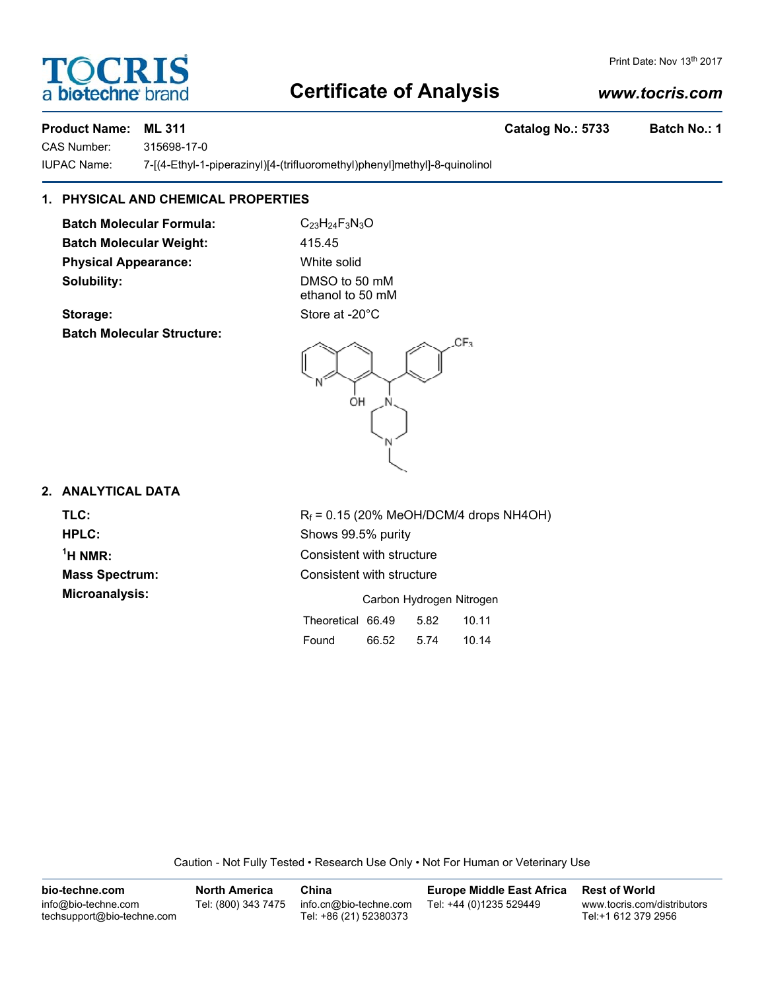## **Certificate of Analysis**

## *www.tocris.com*

Print Date: Nov 13th 2017

CAS Number: 315698-17-0 IUPAC Name: 7-[(4-Ethyl-1-piperazinyl)[4-(trifluoromethyl)phenyl]methyl]-8-quinolinol

## **1. PHYSICAL AND CHEMICAL PROPERTIES**

**Batch Molecular Formula:** C<sub>23</sub>H<sub>24</sub>F<sub>3</sub>N<sub>3</sub>O Batch Molecular Weight: 415.45 **Physical Appearance:** White solid **Solubility:** DMSO to 50 mM

Storage: Store at -20°C **Batch Molecular Structure:**

ethanol to 50 mM

### **2. ANALYTICAL DATA**

<sup>1</sup>H NMR:

**TLC:**  $R_f = 0.15$  (20% MeOH/DCM/4 drops NH4OH) **HPLC:** Shows 99.5% purity **Consistent with structure Mass Spectrum:** Consistent with structure **Microanalysis:** Microanalysis: Carbon Hydrogen Nitrogen

 $CF<sub>3</sub>$ 

| Theoretical 66.49 |       | 5.82 | 10.11 |
|-------------------|-------|------|-------|
| Found             | 66.52 | 5.74 | 10.14 |

Caution - Not Fully Tested • Research Use Only • Not For Human or Veterinary Use

| bio-techne.com                                    | <b>North America</b> | China                                            | <b>Europe Middle East Africa</b> | <b>Rest of World</b>                               |
|---------------------------------------------------|----------------------|--------------------------------------------------|----------------------------------|----------------------------------------------------|
| info@bio-techne.com<br>techsupport@bio-techne.com | Tel: (800) 343 7475  | info.cn@bio-techne.com<br>Tel: +86 (21) 52380373 | Tel: +44 (0)1235 529449          | www.tocris.com/distributors<br>Tel:+1 612 379 2956 |

**Product Name: ML 311 Catalog No.: 5733 Batch No.: 1**